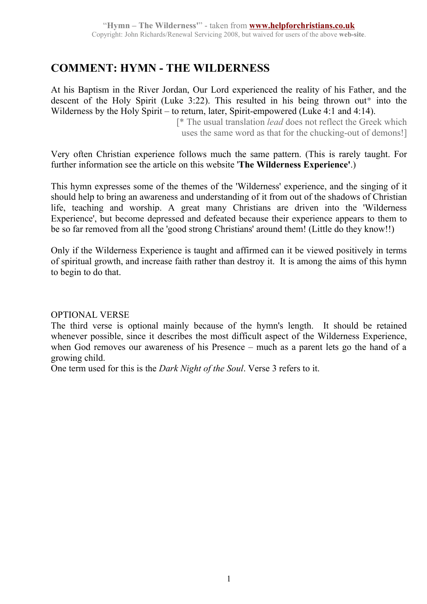# **COMMENT: HYMN - THE WILDERNESS**

At his Baptism in the River Jordan, Our Lord experienced the reality of his Father, and the descent of the Holy Spirit (Luke 3:22). This resulted in his being thrown out\* into the Wilderness by the Holy Spirit – to return, later, Spirit-empowered (Luke 4:1 and 4:14).

 [\* The usual translation *lead* does not reflect the Greek which uses the same word as that for the chucking-out of demons!]

Very often Christian experience follows much the same pattern. (This is rarely taught. For further information see the article on this website '**The Wilderness Experience'**.)

This hymn expresses some of the themes of the 'Wilderness' experience, and the singing of it should help to bring an awareness and understanding of it from out of the shadows of Christian life, teaching and worship. A great many Christians are driven into the 'Wilderness Experience', but become depressed and defeated because their experience appears to them to be so far removed from all the 'good strong Christians' around them! (Little do they know!!)

Only if the Wilderness Experience is taught and affirmed can it be viewed positively in terms of spiritual growth, and increase faith rather than destroy it. It is among the aims of this hymn to begin to do that.

## OPTIONAL VERSE

The third verse is optional mainly because of the hymn's length. It should be retained whenever possible, since it describes the most difficult aspect of the Wilderness Experience, when God removes our awareness of his Presence – much as a parent lets go the hand of a growing child.

One term used for this is the *Dark Night of the Soul*. Verse 3 refers to it.